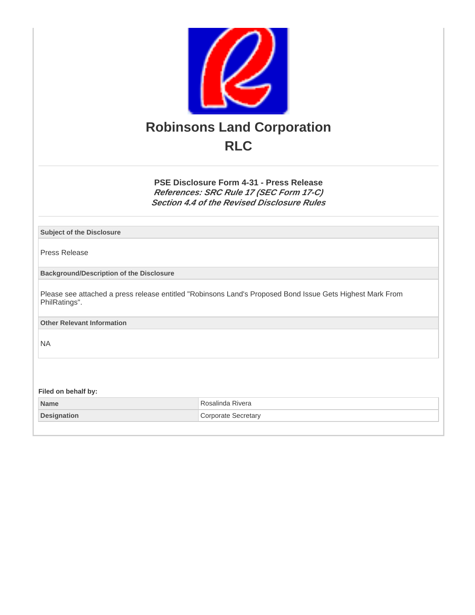

**PSE Disclosure Form 4-31 - Press Release References: SRC Rule 17 (SEC Form 17-C) Section 4.4 of the Revised Disclosure Rules**

**Subject of the Disclosure**

Press Release

**Background/Description of the Disclosure**

Please see attached a press release entitled "Robinsons Land's Proposed Bond Issue Gets Highest Mark From PhilRatings".

**Other Relevant Information**

NA

**Filed on behalf by:**

**Name** Rosalinda Rivera **Designation** Corporate Secretary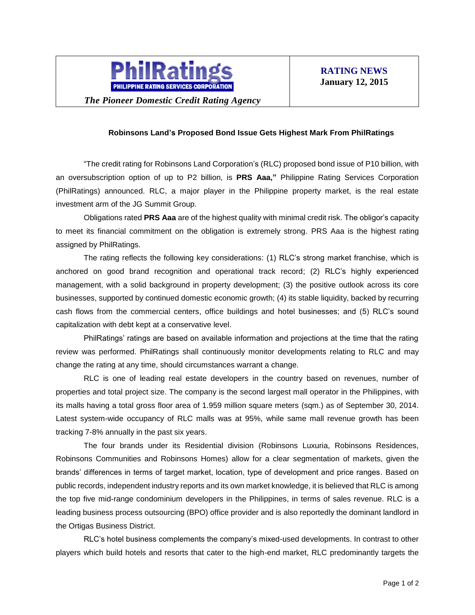

*The Pioneer Domestic Credit Rating Agency*

## **Robinsons Land's Proposed Bond Issue Gets Highest Mark From PhilRatings**

"The credit rating for Robinsons Land Corporation's (RLC) proposed bond issue of P10 billion, with an oversubscription option of up to P2 billion, is **PRS Aaa,"** Philippine Rating Services Corporation (PhilRatings) announced. RLC, a major player in the Philippine property market, is the real estate investment arm of the JG Summit Group.

Obligations rated **PRS Aaa** are of the highest quality with minimal credit risk. The obligor's capacity to meet its financial commitment on the obligation is extremely strong. PRS Aaa is the highest rating assigned by PhilRatings.

The rating reflects the following key considerations: (1) RLC's strong market franchise, which is anchored on good brand recognition and operational track record; (2) RLC's highly experienced management, with a solid background in property development; (3) the positive outlook across its core businesses, supported by continued domestic economic growth; (4) its stable liquidity, backed by recurring cash flows from the commercial centers, office buildings and hotel businesses; and (5) RLC's sound capitalization with debt kept at a conservative level.

PhilRatings' ratings are based on available information and projections at the time that the rating review was performed. PhilRatings shall continuously monitor developments relating to RLC and may change the rating at any time, should circumstances warrant a change.

RLC is one of leading real estate developers in the country based on revenues, number of properties and total project size. The company is the second largest mall operator in the Philippines, with its malls having a total gross floor area of 1.959 million square meters (sqm.) as of September 30, 2014. Latest system-wide occupancy of RLC malls was at 95%, while same mall revenue growth has been tracking 7-8% annually in the past six years.

The four brands under its Residential division (Robinsons Luxuria, Robinsons Residences, Robinsons Communities and Robinsons Homes) allow for a clear segmentation of markets, given the brands' differences in terms of target market, location, type of development and price ranges. Based on public records, independent industry reports and its own market knowledge, it is believed that RLC is among the top five mid-range condominium developers in the Philippines, in terms of sales revenue. RLC is a leading business process outsourcing (BPO) office provider and is also reportedly the dominant landlord in the Ortigas Business District.

RLC's hotel business complements the company's mixed-used developments. In contrast to other players which build hotels and resorts that cater to the high-end market, RLC predominantly targets the